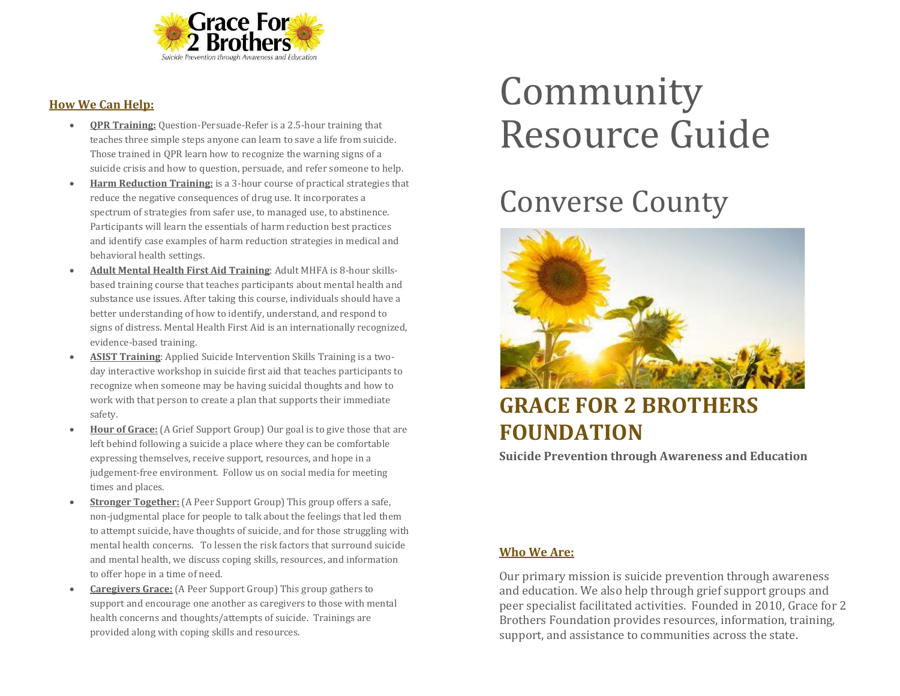

#### **How We Can Help:**

- **QPR Training:** Question-Persuade-Refer is a 2.5-hour training that teaches three simple steps anyone can learn to save a life from suicide. Those trained in QPR learn how to recognize the warning signs of a suicide crisis and how to question, persuade, and refer someone to help.
- **Harm Reduction Training:** is a 3-hour course of practical strategies that reduce the negative consequences of drug use. It incorporates a spectrum of strategies from safer use, to managed use, to abstinence. Participants will learn the essentials of harm reduction best practices and identify case examples of harm reduction strategies in medical and behavioral health settings.
- **Adult Mental Health First Aid Training**: Adult MHFA is 8-hour skillsbased training course that teaches participants about mental health and substance use issues. After taking this course, individuals should have a better understanding of how to identify, understand, and respond to signs of distress. Mental Health First Aid is an internationally recognized, evidence-based training.
- **ASIST Training**: Applied Suicide Intervention Skills Training is a twoday interactive workshop in suicide first aid that teaches participants to recognize when someone may be having suicidal thoughts and how to work with that person to create a plan that supports their immediate safety.
- **Hour of Grace:** (A Grief Support Group) Our goal is to give those that are left behind following a suicide a place where they can be comfortable expressing themselves, receive support, resources, and hope in a judgement-free environment. Follow us on social media for meeting times and places.
- **Stronger Together:** (A Peer Support Group) This group offers a safe, non-judgmental place for people to talk about the feelings that led them to attempt suicide, have thoughts of suicide, and for those struggling with mental health concerns. To lessen the risk factors that surround suicide and mental health, we discuss coping skills, resources, and information to offer hope in a time of need.
- **Caregivers Grace:** (A Peer Support Group) This group gathers to support and encourage one another as caregivers to those with mental health concerns and thoughts/attempts of suicide. Trainings are provided along with coping skills and resources.

# Community Resource Guide

## Converse County



### **GRACE FOR 2 BROTHERS FOUNDATION**

**Suicide Prevention through Awareness and Education**

#### **Who We Are:**

Our primary mission is suicide prevention through awareness and education. We also help through grief support groups and peer specialist facilitated activities. Founded in 2010, Grace for 2 Brothers Foundation provides resources, information, training, support, and assistance to communities across the state.